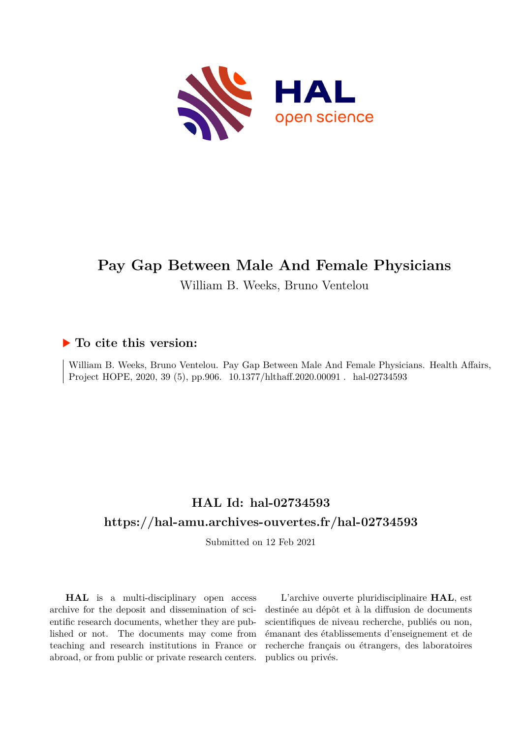

# **Pay Gap Between Male And Female Physicians**

William B. Weeks, Bruno Ventelou

### **To cite this version:**

William B. Weeks, Bruno Ventelou. Pay Gap Between Male And Female Physicians. Health Affairs, Project HOPE, 2020, 39 (5), pp.906. 10.1377/hlthaff.2020.00091 . hal-02734593

## **HAL Id: hal-02734593 <https://hal-amu.archives-ouvertes.fr/hal-02734593>**

Submitted on 12 Feb 2021

**HAL** is a multi-disciplinary open access archive for the deposit and dissemination of scientific research documents, whether they are published or not. The documents may come from teaching and research institutions in France or abroad, or from public or private research centers.

L'archive ouverte pluridisciplinaire **HAL**, est destinée au dépôt et à la diffusion de documents scientifiques de niveau recherche, publiés ou non, émanant des établissements d'enseignement et de recherche français ou étrangers, des laboratoires publics ou privés.